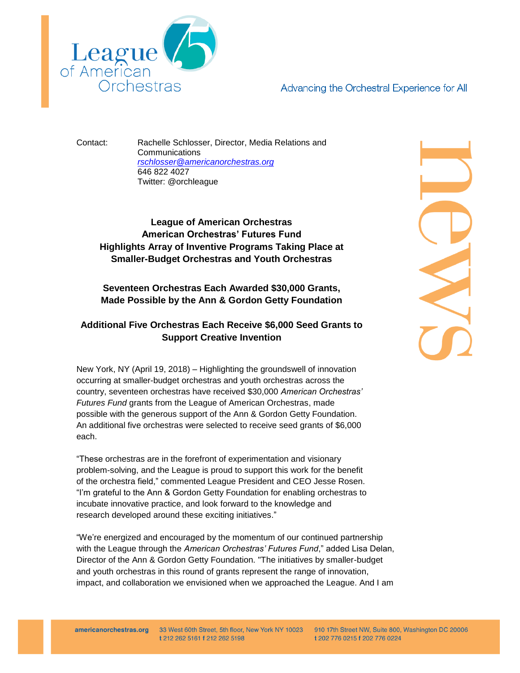

Advancing the Orchestral Experience for All

Contact: Rachelle Schlosser, Director, Media Relations and Communications *[rschlosser@americanorchestras.org](mailto:rschlosser@americanorchestras.org)* 646 822 4027 Twitter: @orchleague

**League of American Orchestras American Orchestras' Futures Fund Highlights Array of Inventive Programs Taking Place at Smaller-Budget Orchestras and Youth Orchestras**

**Seventeen Orchestras Each Awarded \$30,000 Grants, Made Possible by the Ann & Gordon Getty Foundation**

## **Additional Five Orchestras Each Receive \$6,000 Seed Grants to Support Creative Invention**

New York, NY (April 19, 2018) – Highlighting the groundswell of innovation occurring at smaller-budget orchestras and youth orchestras across the country, seventeen orchestras have received \$30,000 *American Orchestras' Futures Fund* grants from the League of American Orchestras, made possible with the generous support of the Ann & Gordon Getty Foundation. An additional five orchestras were selected to receive seed grants of \$6,000 each.

"These orchestras are in the forefront of experimentation and visionary problem-solving, and the League is proud to support this work for the benefit of the orchestra field," commented League President and CEO Jesse Rosen. "I'm grateful to the Ann & Gordon Getty Foundation for enabling orchestras to incubate innovative practice, and look forward to the knowledge and research developed around these exciting initiatives."

"We're energized and encouraged by the momentum of our continued partnership with the League through the *American Orchestras' Futures Fund*," added Lisa Delan, Director of the Ann & Gordon Getty Foundation. "The initiatives by smaller-budget and youth orchestras in this round of grants represent the range of innovation, impact, and collaboration we envisioned when we approached the League. And I am

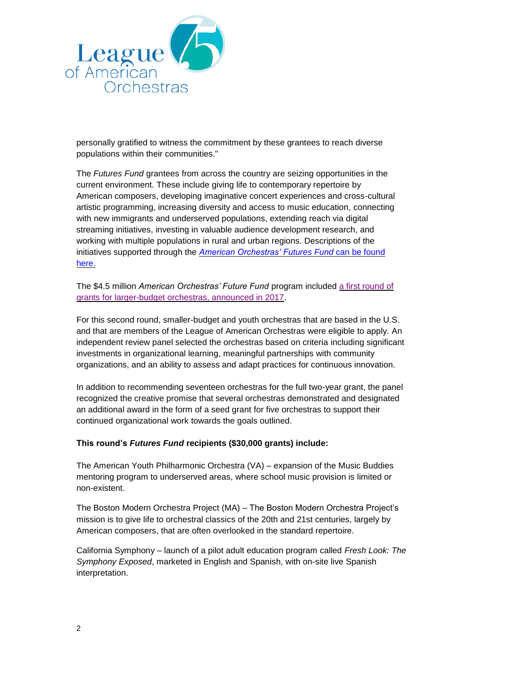

personally gratified to witness the commitment by these grantees to reach diverse populations within their communities."

The *Futures Fund* grantees from across the country are seizing opportunities in the current environment. These include giving life to contemporary repertoire by American composers, developing imaginative concert experiences and cross-cultural artistic programming, increasing diversity and access to music education, connecting with new immigrants and underserved populations, extending reach via digital streaming initiatives, investing in valuable audience development research, and working with multiple populations in rural and urban regions. Descriptions of the initiatives supported through the *[American Orchestras' Futures Fund](https://americanorchestras.org/images/stories/press_releases/Futures_Fund_5-8_descriptions.pdf)* can be found [here.](https://americanorchestras.org/images/stories/press_releases/Futures_Fund_5-8_descriptions.pdf)

The \$4.5 million *American Orchestras' Future Fund* program included [a first round of](https://americanorchestras.org/images/stories/Futures_Fund_Announcement.pdf)  [grants for larger-budget orchestras, announced in 2017.](https://americanorchestras.org/images/stories/Futures_Fund_Announcement.pdf)

For this second round, smaller-budget and youth orchestras that are based in the U.S. and that are members of the League of American Orchestras were eligible to apply. An independent review panel selected the orchestras based on criteria including significant investments in organizational learning, meaningful partnerships with community organizations, and an ability to assess and adapt practices for continuous innovation.

In addition to recommending seventeen orchestras for the full two-year grant, the panel recognized the creative promise that several orchestras demonstrated and designated an additional award in the form of a seed grant for five orchestras to support their continued organizational work towards the goals outlined.

## **This round's** *Futures Fund* **recipients (\$30,000 grants) include:**

The American Youth Philharmonic Orchestra (VA) – expansion of the Music Buddies mentoring program to underserved areas, where school music provision is limited or non-existent.

The Boston Modern Orchestra Project (MA) – The Boston Modern Orchestra Project's mission is to give life to orchestral classics of the 20th and 21st centuries, largely by American composers, that are often overlooked in the standard repertoire.

California Symphony – launch of a pilot adult education program called *Fresh Look: The Symphony Exposed*, marketed in English and Spanish, with on-site live Spanish interpretation.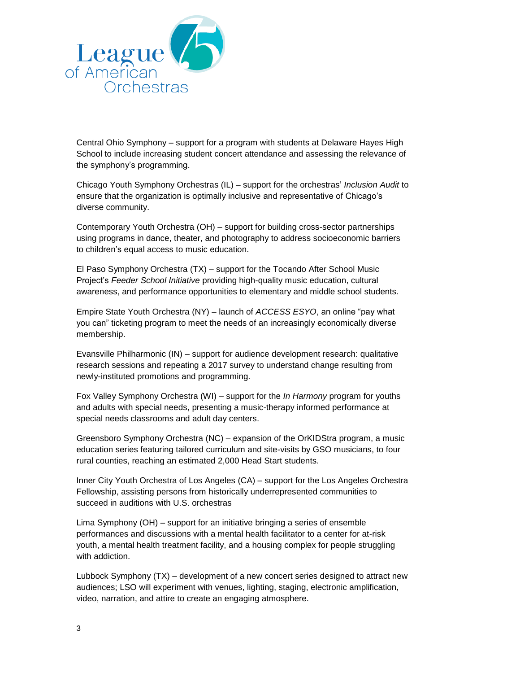

Central Ohio Symphony – support for a program with students at Delaware Hayes High School to include increasing student concert attendance and assessing the relevance of the symphony's programming.

Chicago Youth Symphony Orchestras (IL) – support for the orchestras' *Inclusion Audit* to ensure that the organization is optimally inclusive and representative of Chicago's diverse community.

Contemporary Youth Orchestra (OH) – support for building cross-sector partnerships using programs in dance, theater, and photography to address socioeconomic barriers to children's equal access to music education.

El Paso Symphony Orchestra (TX) – support for the Tocando After School Music Project's *Feeder School Initiative* providing high-quality music education, cultural awareness, and performance opportunities to elementary and middle school students.

Empire State Youth Orchestra (NY) – launch of *ACCESS ESYO*, an online "pay what you can" ticketing program to meet the needs of an increasingly economically diverse membership.

Evansville Philharmonic (IN) – support for audience development research: qualitative research sessions and repeating a 2017 survey to understand change resulting from newly-instituted promotions and programming.

Fox Valley Symphony Orchestra (WI) – support for the *In Harmony* program for youths and adults with special needs, presenting a music-therapy informed performance at special needs classrooms and adult day centers.

Greensboro Symphony Orchestra (NC) – expansion of the OrKIDStra program, a music education series featuring tailored curriculum and site-visits by GSO musicians, to four rural counties, reaching an estimated 2,000 Head Start students.

Inner City Youth Orchestra of Los Angeles (CA) – support for the Los Angeles Orchestra Fellowship, assisting persons from historically underrepresented communities to succeed in auditions with U.S. orchestras

Lima Symphony (OH) – support for an initiative bringing a series of ensemble performances and discussions with a mental health facilitator to a center for at-risk youth, a mental health treatment facility, and a housing complex for people struggling with addiction.

Lubbock Symphony (TX) – development of a new concert series designed to attract new audiences; LSO will experiment with venues, lighting, staging, electronic amplification, video, narration, and attire to create an engaging atmosphere.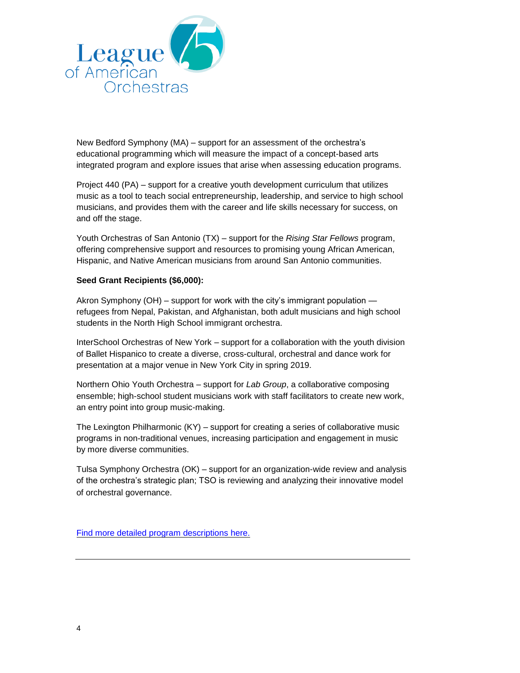

New Bedford Symphony (MA) – support for an assessment of the orchestra's educational programming which will measure the impact of a concept-based arts integrated program and explore issues that arise when assessing education programs.

Project 440 (PA) – support for a creative youth development curriculum that utilizes music as a tool to teach social entrepreneurship, leadership, and service to high school musicians, and provides them with the career and life skills necessary for success, on and off the stage.

Youth Orchestras of San Antonio (TX) – support for the *Rising Star Fellows* program, offering comprehensive support and resources to promising young African American, Hispanic, and Native American musicians from around San Antonio communities.

## **Seed Grant Recipients (\$6,000):**

Akron Symphony (OH) – support for work with the city's immigrant population refugees from Nepal, Pakistan, and Afghanistan, both adult musicians and high school students in the North High School immigrant orchestra.

InterSchool Orchestras of New York – support for a collaboration with the youth division of Ballet Hispanico to create a diverse, cross-cultural, orchestral and dance work for presentation at a major venue in New York City in spring 2019.

Northern Ohio Youth Orchestra – support for *Lab Group*, a collaborative composing ensemble; high-school student musicians work with staff facilitators to create new work, an entry point into group music-making.

The Lexington Philharmonic (KY) – support for creating a series of collaborative music programs in non-traditional venues, increasing participation and engagement in music by more diverse communities.

Tulsa Symphony Orchestra (OK) – support for an organization-wide review and analysis of the orchestra's strategic plan; TSO is reviewing and analyzing their innovative model of orchestral governance.

[Find more detailed program descriptions here.](https://americanorchestras.org/images/stories/press_releases/Futures_Fund_5-8_descriptions.pdf)